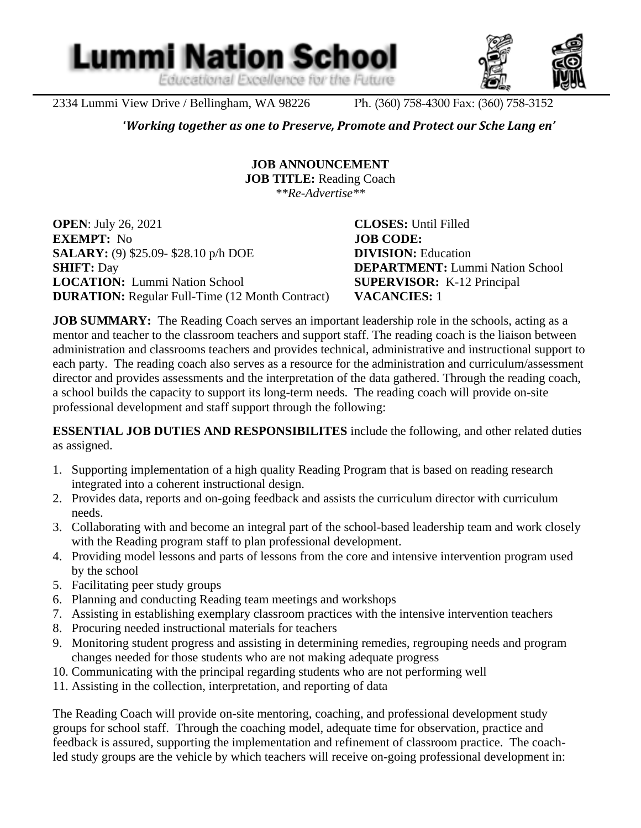Educational Excellence for the Future



2334 Lummi View Drive / Bellingham, WA 98226 Ph. (360) 758-4300 Fax: (360) 758-3152

**Lummi Nation School** 

l

**'***Working together as one to Preserve, Promote and Protect our Sche Lang en'*

**JOB ANNOUNCEMENT JOB TITLE:** Reading Coach *\*\*Re-Advertise\*\**

**OPEN**: July 26, 2021 **CLOSES:** Until Filled **EXEMPT:** No **JOB CODE: SALARY:** (9) \$25.09- \$28.10 p/h DOE **DIVISION:** Education **SHIFT:** Day **DEPARTMENT:** Lummi Nation School **LOCATION:** Lummi Nation School **SUPERVISOR:** K-12 Principal **DURATION:** Regular Full-Time (12 Month Contract) **VACANCIES:** 1

**JOB SUMMARY:** The Reading Coach serves an important leadership role in the schools, acting as a mentor and teacher to the classroom teachers and support staff. The reading coach is the liaison between administration and classrooms teachers and provides technical, administrative and instructional support to each party. The reading coach also serves as a resource for the administration and curriculum/assessment director and provides assessments and the interpretation of the data gathered. Through the reading coach, a school builds the capacity to support its long-term needs. The reading coach will provide on-site professional development and staff support through the following:

**ESSENTIAL JOB DUTIES AND RESPONSIBILITES** include the following, and other related duties as assigned.

- 1. Supporting implementation of a high quality Reading Program that is based on reading research integrated into a coherent instructional design.
- 2. Provides data, reports and on-going feedback and assists the curriculum director with curriculum needs.
- 3. Collaborating with and become an integral part of the school-based leadership team and work closely with the Reading program staff to plan professional development.
- 4. Providing model lessons and parts of lessons from the core and intensive intervention program used by the school
- 5. Facilitating peer study groups
- 6. Planning and conducting Reading team meetings and workshops
- 7. Assisting in establishing exemplary classroom practices with the intensive intervention teachers
- 8. Procuring needed instructional materials for teachers
- 9. Monitoring student progress and assisting in determining remedies, regrouping needs and program changes needed for those students who are not making adequate progress
- 10. Communicating with the principal regarding students who are not performing well
- 11. Assisting in the collection, interpretation, and reporting of data

The Reading Coach will provide on-site mentoring, coaching, and professional development study groups for school staff. Through the coaching model, adequate time for observation, practice and feedback is assured, supporting the implementation and refinement of classroom practice. The coachled study groups are the vehicle by which teachers will receive on-going professional development in: